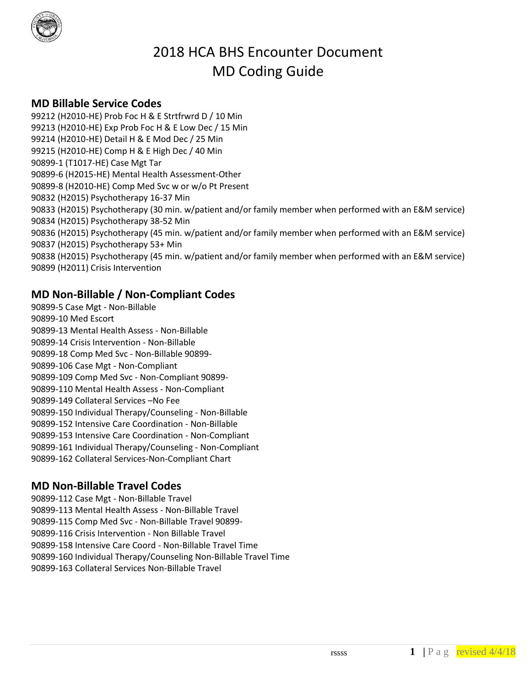

# 2018 HCA BHS Encounter Document MD Coding Guide

# **MD Billable Service Codes**

99212 (H2010-HE) Prob Foc H & E Strtfrwrd D / 10 Min 99213 (H2010-HE) Exp Prob Foc H & E Low Dec / 15 Min 99214 (H2010-HE) Detail H & E Mod Dec / 25 Min 99215 (H2010-HE) Comp H & E High Dec / 40 Min 90899-1 (T1017-HE) Case Mgt Tar 90899-6 (H2015-HE) Mental Health Assessment-Other 90899-8 (H2010-HE) Comp Med Svc w or w/o Pt Present 90832 (H2015) Psychotherapy 16-37 Min 90833 (H2015) Psychotherapy (30 min. w/patient and/or family member when performed with an E&M service) 90834 (H2015) Psychotherapy 38-52 Min 90836 (H2015) Psychotherapy (45 min. w/patient and/or family member when performed with an E&M service) 90837 (H2015) Psychotherapy 53+ Min 90838 (H2015) Psychotherapy (45 min. w/patient and/or family member when performed with an E&M service) 90899 (H2011) Crisis Intervention

# **MD Non-Billable / Non-Compliant Codes**

90899-5 Case Mgt - Non-Billable 90899-10 Med Escort 90899-13 Mental Health Assess - Non-Billable 90899-14 Crisis Intervention - Non-Billable 90899-18 Comp Med Svc - Non-Billable 90899- 90899-106 Case Mgt - Non-Compliant 90899-109 Comp Med Svc - Non-Compliant 90899- 90899-110 Mental Health Assess - Non-Compliant 90899-149 Collateral Services –No Fee 90899-150 Individual Therapy/Counseling - Non-Billable 90899-152 Intensive Care Coordination - Non-Billable 90899-153 Intensive Care Coordination - Non-Compliant 90899-161 Individual Therapy/Counseling - Non-Compliant 90899-162 Collateral Services-Non-Compliant Chart

# **MD Non-Billable Travel Codes**

90899-112 Case Mgt - Non-Billable Travel 90899-113 Mental Health Assess - Non-Billable Travel 90899-115 Comp Med Svc - Non-Billable Travel 90899- 90899-116 Crisis Intervention - Non Billable Travel 90899-158 Intensive Care Coord - Non-Billable Travel Time 90899-160 Individual Therapy/Counseling Non-Billable Travel Time 90899-163 Collateral Services Non-Billable Travel